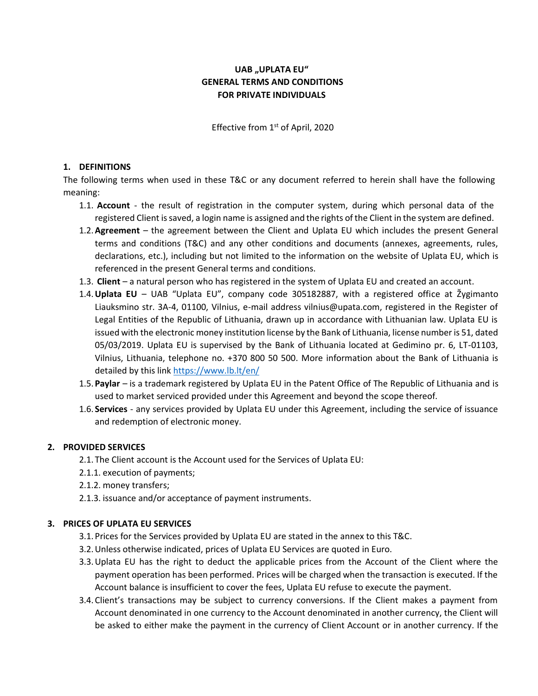# **UAB "UPLATA EU" GENERAL TERMS AND CONDITIONS FOR PRIVATE INDIVIDUALS**

Effective from 1<sup>st</sup> of April, 2020

### **1. DEFINITIONS**

The following terms when used in these T&C or any document referred to herein shall have the following meaning:

- 1.1. **Account**  the result of registration in the computer system, during which personal data of the registered Client is saved, a login name is assigned and the rights of the Client in the system are defined.
- 1.2.**Agreement**  the agreement between the Client and Uplata EU which includes the present General terms and conditions (T&C) and any other conditions and documents (annexes, agreements, rules, declarations, etc.), including but not limited to the information on the website of Uplata EU, which is referenced in the present General terms and conditions.
- 1.3. **Client**  a natural person who has registered in the system of Uplata EU and created an account.
- 1.4.**Uplata EU** UAB "Uplata EU", company code 305182887, with a registered office at Žygimanto Liauksmino str. 3A-4, 01100, Vilnius, e-mail address vilnius@upata.com, registered in the Register of Legal Entities of the Republic of Lithuania, drawn up in accordance with Lithuanian law. Uplata EU is issued with the electronic money institution license by the Bank of Lithuania, license number is 51, dated 05/03/2019. Uplata EU is supervised by the Bank of Lithuania located at Gedimino pr. 6, LT-01103, Vilnius, Lithuania, telephone no. +370 800 50 500. More information about the Bank of Lithuania is detailed by this link<https://www.lb.lt/en/>
- 1.5. **Paylar**  is a trademark registered by Uplata EU in the Patent Office of The Republic of Lithuania and is used to market serviced provided under this Agreement and beyond the scope thereof.
- 1.6. **Services** any services provided by Uplata EU under this Agreement, including the service of issuance and redemption of electronic money.

### **2. PROVIDED SERVICES**

- 2.1. The Client account is the Account used for the Services of Uplata EU:
- 2.1.1. execution of payments;
- 2.1.2. money transfers;
- 2.1.3. issuance and/or acceptance of payment instruments.

### **3. PRICES OF UPLATA EU SERVICES**

- 3.1. Prices for the Services provided by Uplata EU are stated in the annex to this T&C.
- 3.2.Unless otherwise indicated, prices of Uplata EU Services are quoted in Euro.
- 3.3.Uplata EU has the right to deduct the applicable prices from the Account of the Client where the payment operation has been performed. Prices will be charged when the transaction is executed. If the Account balance is insufficient to cover the fees, Uplata EU refuse to execute the payment.
- 3.4. Client's transactions may be subject to currency conversions. If the Client makes a payment from Account denominated in one currency to the Account denominated in another currency, the Client will be asked to either make the payment in the currency of Client Account or in another currency. If the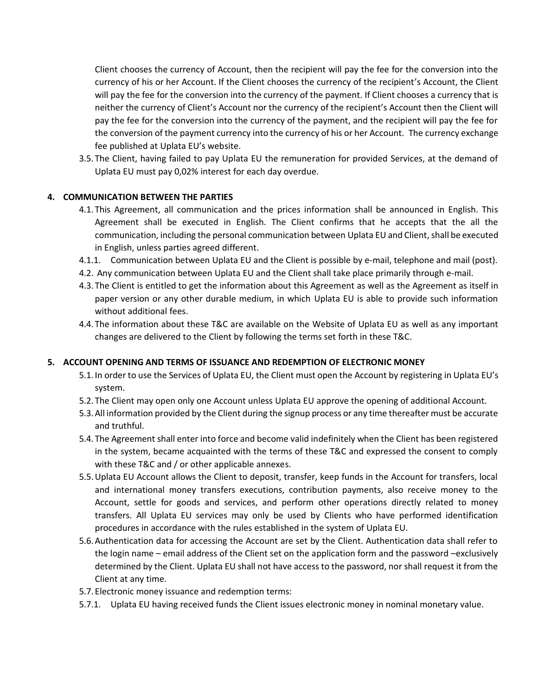Client chooses the currency of Account, then the recipient will pay the fee for the conversion into the currency of his or her Account. If the Client chooses the currency of the recipient's Account, the Client will pay the fee for the conversion into the currency of the payment. If Client chooses a currency that is neither the currency of Client's Account nor the currency of the recipient's Account then the Client will pay the fee for the conversion into the currency of the payment, and the recipient will pay the fee for the conversion of the payment currency into the currency of his or her Account. The currency exchange fee published at Uplata EU's website.

3.5. The Client, having failed to pay Uplata EU the remuneration for provided Services, at the demand of Uplata EU must pay 0,02% interest for each day overdue.

### **4. COMMUNICATION BETWEEN THE PARTIES**

- 4.1. This Agreement, all communication and the prices information shall be announced in English. This Agreement shall be executed in English. The Client confirms that he accepts that the all the communication, including the personal communication between Uplata EU and Client, shall be executed in English, unless parties agreed different.
- 4.1.1. Communication between Uplata EU and the Client is possible by e-mail, telephone and mail (post).
- 4.2. Any communication between Uplata EU and the Client shall take place primarily through e-mail.
- 4.3. The Client is entitled to get the information about this Agreement as well as the Agreement as itself in paper version or any other durable medium, in which Uplata EU is able to provide such information without additional fees.
- 4.4. The information about these T&C are available on the Website of Uplata EU as well as any important changes are delivered to the Client by following the terms set forth in these T&C.

# **5. ACCOUNT OPENING AND TERMS OF ISSUANCE AND REDEMPTION OF ELECTRONIC MONEY**

- 5.1. In order to use the Services of Uplata EU, the Client must open the Account by registering in Uplata EU's system.
- 5.2. The Client may open only one Account unless Uplata EU approve the opening of additional Account.
- 5.3.All information provided by the Client during the signup process or any time thereafter must be accurate and truthful.
- 5.4. The Agreement shall enter into force and become valid indefinitely when the Client has been registered in the system, became acquainted with the terms of these T&C and expressed the consent to comply with these T&C and / or other applicable annexes.
- 5.5.Uplata EU Account allows the Client to deposit, transfer, keep funds in the Account for transfers, local and international money transfers executions, contribution payments, also receive money to the Account, settle for goods and services, and perform other operations directly related to money transfers. All Uplata EU services may only be used by Clients who have performed identification procedures in accordance with the rules established in the system of Uplata EU.
- 5.6.Authentication data for accessing the Account are set by the Client. Authentication data shall refer to the login name – email address of the Client set on the application form and the password –exclusively determined by the Client. Uplata EU shall not have access to the password, nor shall request it from the Client at any time.
- 5.7. Electronic money issuance and redemption terms:
- 5.7.1. Uplata EU having received funds the Client issues electronic money in nominal monetary value.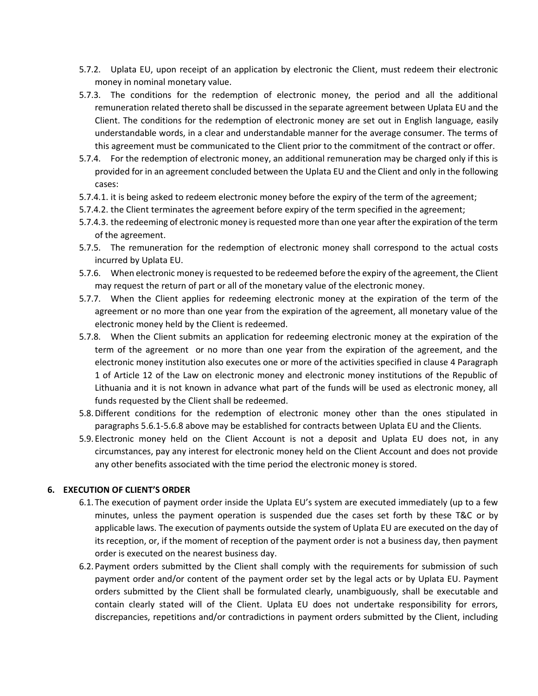- 5.7.2. Uplata EU, upon receipt of an application by electronic the Client, must redeem their electronic money in nominal monetary value.
- 5.7.3. The conditions for the redemption of electronic money, the period and all the additional remuneration related thereto shall be discussed in the separate agreement between Uplata EU and the Client. The conditions for the redemption of electronic money are set out in English language, easily understandable words, in a clear and understandable manner for the average consumer. The terms of this agreement must be communicated to the Client prior to the commitment of the contract or offer.
- 5.7.4. For the redemption of electronic money, an additional remuneration may be charged only if this is provided for in an agreement concluded between the Uplata EU and the Client and only in the following cases:
- 5.7.4.1. it is being asked to redeem electronic money before the expiry of the term of the agreement;
- 5.7.4.2. the Client terminates the agreement before expiry of the term specified in the agreement;
- 5.7.4.3. the redeeming of electronic money is requested more than one year after the expiration of the term of the agreement.
- 5.7.5. The remuneration for the redemption of electronic money shall correspond to the actual costs incurred by Uplata EU.
- 5.7.6. When electronic money is requested to be redeemed before the expiry of the agreement, the Client may request the return of part or all of the monetary value of the electronic money.
- 5.7.7. When the Client applies for redeeming electronic money at the expiration of the term of the agreement or no more than one year from the expiration of the agreement, all monetary value of the electronic money held by the Client is redeemed.
- 5.7.8. When the Client submits an application for redeeming electronic money at the expiration of the term of the agreement or no more than one year from the expiration of the agreement, and the electronic money institution also executes one or more of the activities specified in clause 4 Paragraph 1 of Article 12 of the Law on electronic money and electronic money institutions of the Republic of Lithuania and it is not known in advance what part of the funds will be used as electronic money, all funds requested by the Client shall be redeemed.
- 5.8.Different conditions for the redemption of electronic money other than the ones stipulated in paragraphs 5.6.1-5.6.8 above may be established for contracts between Uplata EU and the Clients.
- 5.9. Electronic money held on the Client Account is not a deposit and Uplata EU does not, in any circumstances, pay any interest for electronic money held on the Client Account and does not provide any other benefits associated with the time period the electronic money is stored.

### **6. EXECUTION OF CLIENT'S ORDER**

- 6.1. The execution of payment order inside the Uplata EU's system are executed immediately (up to a few minutes, unless the payment operation is suspended due the cases set forth by these T&C or by applicable laws. The execution of payments outside the system of Uplata EU are executed on the day of its reception, or, if the moment of reception of the payment order is not a business day, then payment order is executed on the nearest business day.
- 6.2. Payment orders submitted by the Client shall comply with the requirements for submission of such payment order and/or content of the payment order set by the legal acts or by Uplata EU. Payment orders submitted by the Client shall be formulated clearly, unambiguously, shall be executable and contain clearly stated will of the Client. Uplata EU does not undertake responsibility for errors, discrepancies, repetitions and/or contradictions in payment orders submitted by the Client, including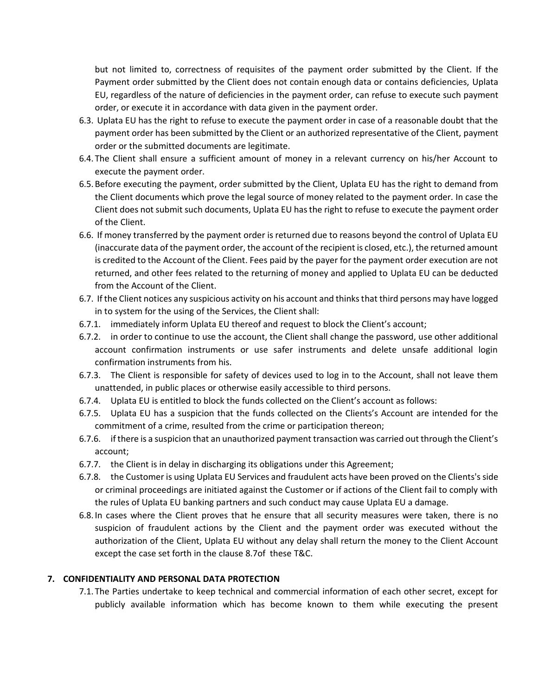but not limited to, correctness of requisites of the payment order submitted by the Client. If the Payment order submitted by the Client does not contain enough data or contains deficiencies, Uplata EU, regardless of the nature of deficiencies in the payment order, can refuse to execute such payment order, or execute it in accordance with data given in the payment order.

- 6.3. Uplata EU has the right to refuse to execute the payment order in case of a reasonable doubt that the payment order has been submitted by the Client or an authorized representative of the Client, payment order or the submitted documents are legitimate.
- 6.4. The Client shall ensure a sufficient amount of money in a relevant currency on his/her Account to execute the payment order.
- 6.5.Before executing the payment, order submitted by the Client, Uplata EU has the right to demand from the Client documents which prove the legal source of money related to the payment order. In case the Client does not submit such documents, Uplata EU has the right to refuse to execute the payment order of the Client.
- 6.6. If money transferred by the payment order is returned due to reasons beyond the control of Uplata EU (inaccurate data of the payment order, the account of the recipient is closed, etc.), the returned amount is credited to the Account of the Client. Fees paid by the payer for the payment order execution are not returned, and other fees related to the returning of money and applied to Uplata EU can be deducted from the Account of the Client.
- 6.7. If the Client notices any suspicious activity on his account and thinks that third persons may have logged in to system for the using of the Services, the Client shall:
- 6.7.1. immediately inform Uplata EU thereof and request to block the Client's account;
- 6.7.2. in order to continue to use the account, the Client shall change the password, use other additional account confirmation instruments or use safer instruments and delete unsafe additional login confirmation instruments from his.
- 6.7.3. The Client is responsible for safety of devices used to log in to the Account, shall not leave them unattended, in public places or otherwise easily accessible to third persons.
- 6.7.4. Uplata EU is entitled to block the funds collected on the Client's account as follows:
- 6.7.5. Uplata EU has a suspicion that the funds collected on the Clients's Account are intended for the commitment of a crime, resulted from the crime or participation thereon;
- 6.7.6. if there is a suspicion that an unauthorized payment transaction was carried out through the Client's account;
- 6.7.7. the Client is in delay in discharging its obligations under this Agreement;
- 6.7.8. the Customer is using Uplata EU Services and fraudulent acts have been proved on the Clients's side or criminal proceedings are initiated against the Customer or if actions of the Client fail to comply with the rules of Uplata EU banking partners and such conduct may cause Uplata EU a damage.
- 6.8. In cases where the Client proves that he ensure that all security measures were taken, there is no suspicion of fraudulent actions by the Client and the payment order was executed without the authorization of the Client, Uplata EU without any delay shall return the money to the Client Account except the case set forth in the clause 8.7of these T&C.

#### **7. CONFIDENTIALITY AND PERSONAL DATA PROTECTION**

7.1. The Parties undertake to keep technical and commercial information of each other secret, except for publicly available information which has become known to them while executing the present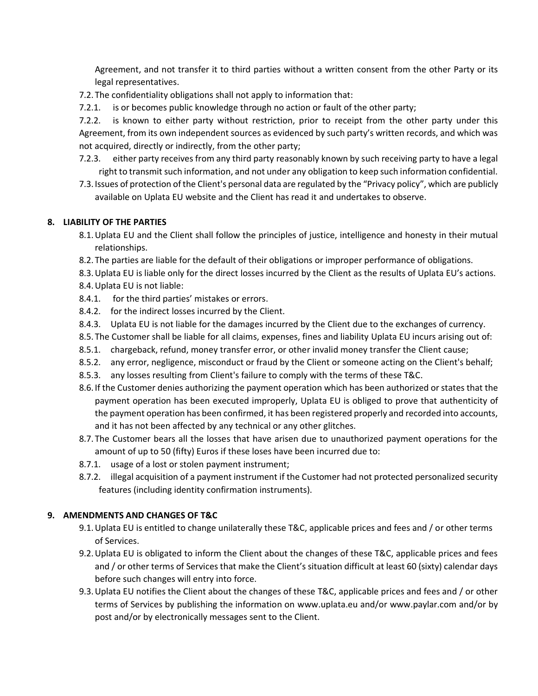Agreement, and not transfer it to third parties without a written consent from the other Party or its legal representatives.

- 7.2. The confidentiality obligations shall not apply to information that:
- 7.2.1. is or becomes public knowledge through no action or fault of the other party;

7.2.2. is known to either party without restriction, prior to receipt from the other party under this Agreement, from its own independent sources as evidenced by such party's written records, and which was not acquired, directly or indirectly, from the other party;

- 7.2.3. either party receives from any third party reasonably known by such receiving party to have a legal right to transmit such information, and not under any obligation to keep such information confidential.
- 7.3. Issues of protection of the Client's personal data are regulated by the "Privacy policy", which are publicly available on Uplata EU website and the Client has read it and undertakes to observe.

# **8. LIABILITY OF THE PARTIES**

- 8.1.Uplata EU and the Client shall follow the principles of justice, intelligence and honesty in their mutual relationships.
- 8.2. The parties are liable for the default of their obligations or improper performance of obligations.
- 8.3.Uplata EU is liable only for the direct losses incurred by the Client as the results of Uplata EU's actions.
- 8.4.Uplata EU is not liable:
- 8.4.1. for the third parties' mistakes or errors.
- 8.4.2. for the indirect losses incurred by the Client.
- 8.4.3. Uplata EU is not liable for the damages incurred by the Client due to the exchanges of currency.
- 8.5. The Customer shall be liable for all claims, expenses, fines and liability Uplata EU incurs arising out of:
- 8.5.1. chargeback, refund, money transfer error, or other invalid money transfer the Client cause;
- 8.5.2. any error, negligence, misconduct or fraud by the Client or someone acting on the Client's behalf;
- 8.5.3. any losses resulting from Client's failure to comply with the terms of these T&C.
- 8.6. If the Customer denies authorizing the payment operation which has been authorized or states that the payment operation has been executed improperly, Uplata EU is obliged to prove that authenticity of the payment operation has been confirmed, it has been registered properly and recorded into accounts, and it has not been affected by any technical or any other glitches.
- 8.7. The Customer bears all the losses that have arisen due to unauthorized payment operations for the amount of up to 50 (fifty) Euros if these loses have been incurred due to:
- 8.7.1. usage of a lost or stolen payment instrument;
- 8.7.2. illegal acquisition of a payment instrument if the Customer had not protected personalized security features (including identity confirmation instruments).

### **9. AMENDMENTS AND CHANGES OF T&C**

- 9.1.Uplata EU is entitled to change unilaterally these T&C, applicable prices and fees and / or other terms of Services.
- 9.2.Uplata EU is obligated to inform the Client about the changes of these T&C, applicable prices and fees and / or other terms of Services that make the Client's situation difficult at least 60 (sixty) calendar days before such changes will entry into force.
- 9.3.Uplata EU notifies the Client about the changes of these T&C, applicable prices and fees and / or other terms of Services by publishing the information on www.uplata.eu and/or www.paylar.com and/or by post and/or by electronically messages sent to the Client.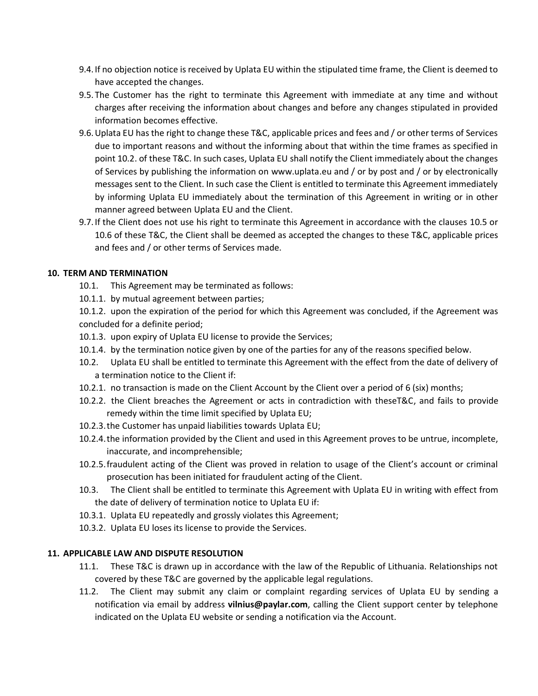- 9.4. If no objection notice is received by Uplata EU within the stipulated time frame, the Client is deemed to have accepted the changes.
- 9.5. The Customer has the right to terminate this Agreement with immediate at any time and without charges after receiving the information about changes and before any changes stipulated in provided information becomes effective.
- 9.6.Uplata EU has the right to change these T&C, applicable prices and fees and / or other terms of Services due to important reasons and without the informing about that within the time frames as specified in point 10.2. of these T&C. In such cases, Uplata EU shall notify the Client immediately about the changes of Services by publishing the information on www.uplata.eu and / or by post and / or by electronically messages sent to the Client. In such case the Client is entitled to terminate this Agreement immediately by informing Uplata EU immediately about the termination of this Agreement in writing or in other manner agreed between Uplata EU and the Client.
- 9.7. If the Client does not use his right to terminate this Agreement in accordance with the clauses 10.5 or 10.6 of these T&C, the Client shall be deemed as accepted the changes to these T&C, applicable prices and fees and / or other terms of Services made.

# **10. TERM AND TERMINATION**

- 10.1. This Agreement may be terminated as follows:
- 10.1.1. by mutual agreement between parties;

10.1.2. upon the expiration of the period for which this Agreement was concluded, if the Agreement was concluded for a definite period;

- 10.1.3. upon expiry of Uplata EU license to provide the Services;
- 10.1.4. by the termination notice given by one of the parties for any of the reasons specified below.
- 10.2. Uplata EU shall be entitled to terminate this Agreement with the effect from the date of delivery of a termination notice to the Client if:
- 10.2.1. no transaction is made on the Client Account by the Client over a period of 6 (six) months;
- 10.2.2. the Client breaches the Agreement or acts in contradiction with theseT&C, and fails to provide remedy within the time limit specified by Uplata EU;
- 10.2.3.the Customer has unpaid liabilities towards Uplata EU;
- 10.2.4.the information provided by the Client and used in this Agreement proves to be untrue, incomplete, inaccurate, and incomprehensible;
- 10.2.5.fraudulent acting of the Client was proved in relation to usage of the Client's account or criminal prosecution has been initiated for fraudulent acting of the Client.
- 10.3. The Client shall be entitled to terminate this Agreement with Uplata EU in writing with effect from the date of delivery of termination notice to Uplata EU if:
- 10.3.1. Uplata EU repeatedly and grossly violates this Agreement;
- 10.3.2. Uplata EU loses its license to provide the Services.

### **11. APPLICABLE LAW AND DISPUTE RESOLUTION**

- 11.1. These T&C is drawn up in accordance with the law of the Republic of Lithuania. Relationships not covered by these T&C are governed by the applicable legal regulations.
- 11.2. The Client may submit any claim or complaint regarding services of Uplata EU by sending a notification via email by address **vilnius@paylar.com**, calling the Client support center by telephone indicated on the Uplata EU website or sending a notification via the Account.